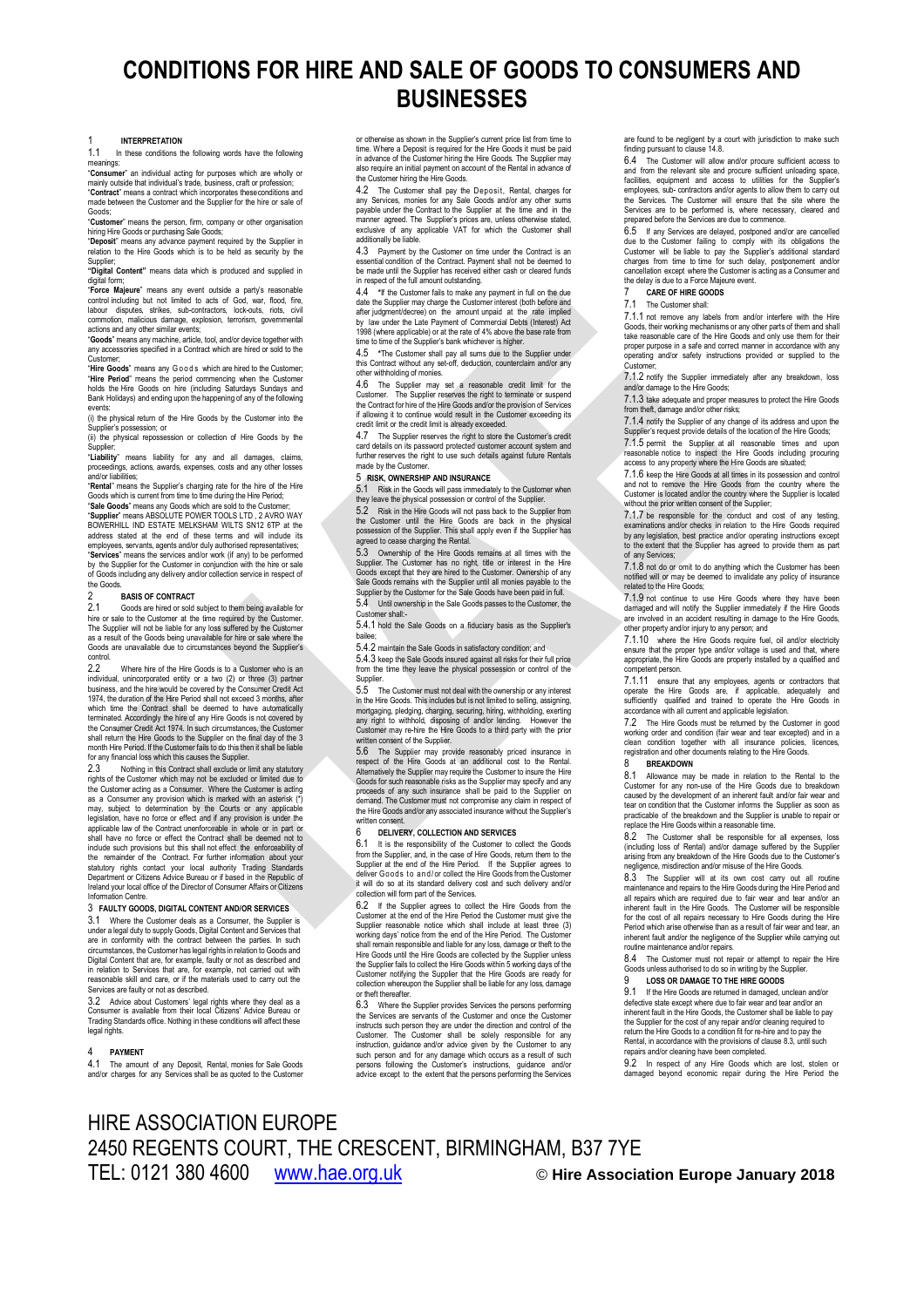# **CONDITIONS FOR HIRE AND SALE OF GOODS TO CONSUMERS AND BUSINESSES**

1 **INTERPRETATION** In these conditions the following words have the following meanings:<br>Consume

"**Consumer**" an individual acting for purposes which are wholly or mainly outside that individual's trade, business, craft or profession; "**Contract**" means a contract which incorporates theseconditions and made between the Customer and the Supplier for the hire or sale of

Goods; "**Customer**" means the person, firm, company or other organisation hiring Hire Goods or purchasing Sale Goods;

"**Deposit**" means any advance payment required by the Supplier in relation to the Hire Goods which is to be held as security by the

Supplier; **"Digital Content"** means data which is produced and supplied in

digital form;<br>"**Force Majeure**" means any event outside a party's reasonable<br>control including but not limited to acts of God, war, flood, fire,<br>labour disputes, strikes, sub-contractors, lock-outs, riots, civil

commotion, malicious damage, explosion, terrorism, governmental<br>actions and any other similar events;<br>**"Goods**" means any machine, article, tool, and/or device together with<br>any accessories specified in a Contract which ar

Customer;<br>**"Hire Goods**" means any Goods which are hired to the Customer;<br>"**Hire Period**" means the period commencing when the Customer<br>holds the Hire Goods on hire (including Saturdays Sundays and Bank Holidays) and ending upon the happening of any of the following

events: (i) the physical return of the Hire Goods by the Customer into the Supplier's possession; or

(ii) the physical repossession or collection of Hire Goods by the

Supplier;<br>**"Liability**" means liability for any and all damages, claims,<br>proceedings, actions, awards, expenses, costs and any other losses<br>and/or·liabilities;

"**Rental**" means the Supplier's charging rate for the hire of the Hire<br>Goods which is current from time to time during the Hire Period;<br>"**Sale Goods**" means any Goods which are sold to the Customer;<br>"**Supplier**" means ABSO

BOWERHILL IND ESTATE MELKSHAM WILTS SN12 6TP at the address stated at the end of these terms and will include its employees, servants, agents and/or duly authorised representatives; "**Services**" means the services and/or work (if any) to be performed by the Supplier for the Customer in conjunction with the hire or sale of Goods including any delivery and/or collection service in respect of the Goods

### 2 **BASIS OF CONTRACT**

2.1 Goods are hired or sold subject to them being available for hire or sale to the Customer at the time required by the Customer. The Supplier will not be liable for any loss suffered by the Customer as a result of the Goods being unavailable for hire or sale where the Goods are unavailable due to circumstances beyond the Supplier's contro<br>22

2.2 Where hire of the Hire Goods is to a Customer who is an endividual unincorporated entity or a two (2) or three (3) partner individual, unincorporated entity or a two (2) or three (3) partner business, and the hire would be covered by the Consumer Credit Act 1974, the duration of the Hire Period shall not exceed 3 months, after which time the Contract shall be deemed to have automatically terminated. Accordingly the hire of any Hire Goods is not covered by the Consumer Credit Act 1974. In such circumstances, the Customer shall return the Hire Goods to the Supplier on the final day of the 3 month Hire Period. If the Customer fails to do this then it shall be liable for any financial loss which this causes the Supplier.

2.3 Nothing in this Contract shall exclude or limit any statutory<br>rights of the Customer which may not be excluded or limited due to<br>the Customer acting as a Consumer. Where the Customer is acting<br>as a Consumer any provisi may, subject to determination by the Courts or any applicable legislation, have no force or effect and if any provision is under the applicable law of the Contract unenforceable in whole or in part or shall have no force or effect the Contract shall be deemed not to include such provisions but this shall not effect, the enforceability of<br>the remainder of the Contract. For further information about your<br>statutory rights contact your local authority Trading Standards<br>Department or Citiz Ireland your local office of the Director of Consumer Affairs or Citizens oar rooar<br>Inn Centr

### 3 **FAULTY GOODS, DIGITAL CONTENT AND/OR SERVICES**

3.1 Where the Customer deals as a Consumer, the Supplier is under a legal duty to supply Goods, Digital Content and Services that are in conformity with the contract between the parties. In such circumstances, the Customer has legal rights in relation to Goods and Digital Content that are, for example, faulty or not as described and in relation to Services that are, for example, not carried out with reasonable skill and care, or if the materials used to carry out the Services are faulty or not as described.<br>3.2. Advice about Customers' legal

3.2 Advice about Customers' legal rights where they deal as a Consumer is available from their local Citizens' Advice Bureau or Trading Standards office. Nothing in these conditions will affect these legal rights

### 4 **PAYMENT**

The amount of any Deposit, Rental, monies for Sale Goods and/or charges for any Services shall be as quoted to the Customer

or otherwise as shown in the Supplier's current price list from time to time. Where a Deposit is required for the Hire Goods it must be paid in advance of the Customer hiring the Hire Goods. The Supplier may also require an initial payment on account of the Rental in advance of the Customer hiring the Hire Goods.

<span id="page-0-1"></span>4.2 The Customer shall pay the Deposit, Rental, charges for any Services, monies for any Sale Goods and/or any other sums payable under the Contract to the Supplier at the time and in the manner agreed. The Supplier's prices are, unless otherwise stated exclusive of any applicable VAT for which the Customer shall additionally be liable.

4.3 Payment by the Customer on time under the Contract is an essential condition of the Contract. Payment shall not be deemed to be made until the Supplier has received either cash or cleared funds in respect of the full amount outstanding.

<span id="page-0-2"></span>4.4 **\***If the Customer fails to make any payment in full on the due date the Supplier may charge the Customer interest (both before and after judgment/decree) on the amount unpaid at the rate implied by law under the Late Payment of Commercial Debts (Interest) Act 1998 (where applicable) or at the rate of 4% above the base rate from

<span id="page-0-3"></span>time to time of the Supplier's bank whichever is higher.<br>4.5 \*The Customer shall pay all sums due to the 4.5 **\***The Customer shall pay all sums due to the Supplier under this Contract without any set-off, deduction, counterclaim and/or any other withholding of monies.

4.6 The Supplier may set a reasonable credit limit for the Customer. The Supplier reserves the right to terminate or suspend the Contract for hire of the Hire Goods and/or the provision of Services if allowing it to contin

4.7 The Supplier reserves the right to store the Customer's credit card details on its password protected customer account system and further reserves the right to use such details against future Rentals made by the Custome

### 5 **RISK, OWNERSHIP AND INSURANCE**

5.1 Risk in the Goods will pass immediately to the Customer when they leave the physical possession or control of the Supplier.

5.2 Risk in the Hire Goods will not pass back to the Supplier from the Customer until the Hire Goods are back in the physical possession of the Supplier. This shall apply even if the Supplier has agreed to cease charging the Rental.

5.3 Ownership of the Hire Goods remains at all times with the Supplier. The Customer has no right, title or interest in the Hire Goods except that they are hired to the Customer. Ownership of any Sale Goods remains with the Supplier until all monies payable to the Supplier by the Customer for the Sale Goods have been paid in full.

5.4 Until ownership in the Sale Goods passes to the Customer, the Customer shall:- 5.4.1 hold the Sale Goods on a fiduciary basis as the Supplier's

bailee; 5.4.2 maintain the Sale Goods in satisfactory condition; and

5.4.3 keep the Sale Goods insured against all risks for their full price from the time they leave the physical possession or control of the

Supplier. 5.5 The Customer must not deal with the ownership or any interest in the Hire Goods. This includes but is not limited to selling, assigning, mortgaging, pledging, charging, securing, hiring, withholding, exerting any right to withhold, disposing of and/or lending. However the Customer may re-hire the Hire Goods to a third party with the prior ritten consent of the Supplier

5.6 The Supplier may provide reasonably priced insurance in respect of the Hire Goods at an additional cost to the Rental.<br>Alternatively the Supplier may require the Customer to insure the Hire<br>Alternatively the Supplier m proceeds of any such insurance shall be paid to the Supplier on demand. The Customer must not compromise any claim in respect of the Hire Goods and/or any associated insurance without the Supplier's written consent.

### 6 **DELIVERY, COLLECTION AND SERVICES**

6.1 It is the responsibility of the Customer to collect the Goods from the Supplier, and, in the case of Hire Goods, return them to the Supplier at the end of the Hire Period. If the Supplier agrees to deliver Goods to and/or collect the Hire Goods from the Customer<br>it will do so at its standard delivery cost and such delivery and/or collection will form part of the Services.

6.2 If the Supplier agrees to collect the Hire Goods from the Customer at the end of the Hire Period the Customer must give the Supplier reasonable notice which shall include at least three (3) working days' notice from the end of the Hire Period. The Customer shall remain responsible and liable for any loss, damage or theft to the Hire Goods until the Hire Goods are collected by the Supplier unless the Supplier fails to collect the Hire Goods within 5 working days of the Customer notifying the Supplier that the Hire Goods are ready for collection whereupon the Supplier shall be liable for any loss, damage or theft thereafter.

6.3 Where the Supplier provides Services the persons performing the Services are servants of the Customer and once the Customer instructs such person they are under the direction and control of the<br>Customer. The Customer shall be solely responsible for any Customer. The Customer shall be solely responsible for any<br>instruction, guidance and/or advice given by the Customer to any<br>such person and for any damage which occurs as a result of such<br>persons following the Customer's i advice except to the extent that the persons performing the Services

are found to be negligent by a court with jurisdiction to make such finding pursuant to claus[e 14.8.](#page-1-0)

6.4 The Customer will allow and/or procure sufficient access to and from the relevant site and procure sufficient unloading space, facilities, equipment and access to utilities for the Supplier's employees, sub- contractors and/or agents to allow them to carry out<br>the Services. The Customer will ensure that the site where the<br>Services are to be performed is, where necessary, cleared and<br>prepared before the Services

6.5 If any Services are delayed, postponed and/or are cancelled due to the Customer failing to comply with its obligations the Customer will be liable to pay the Supplier's additional standard charges from time to time for such delay, postponement and/or cancellation except where the Customer is acting as a Consumer and the delay is due to a Force Majeure event.

### <span id="page-0-4"></span>7 **CARE OF HIRE GOODS**

### The Customer shall

7.1.1 not remove any labels from and/or interfere with the Hire Goods, their working mechanisms or any other parts of them and shall take reasonable care of the Hire Goods and only use them for their proper purpose in a safe and correct manner in accordance with any anomation and/or safety instructions provided or supplied to the and/or safety instructions provided or supplied to the Customer;

7.1.2 notify the Supplier immediately after any breakdown, loss and/or damage to the Hire Goods;

7.1.3 take adequate and proper measures to protect the Hire Goods from theft, damage and/or other risks;

7.1.4 notify the Supplier of any change of its address and upon the Supplier's request provide details of the location of the Hire Goods; 7.1.5 permit the Supplier at all reasonable times and upon reasonable notice to inspect the Hire Goods including procuring access to any property where the Hire Goods are situated;

7.1.6 keep the Hire Goods at all times in its possession and control and not to remove the Hire Goods from the country where the Customer is located and/or the country where the Supplier is located without the prior written consent of the Supplier;

7.1.7 be responsible for the conduct and cost of any testing, examinations and/or checks in relation to the Hire Goods required by any legislation, best practice and/or operating instructions except to the extent that the Supplier has agreed to provide them as part of any Services;

7.1.8 not do or omit to do anything which the Customer has been notified will or may be deemed to invalidate any policy of insurance related to the Hire Goods;

7.1.9 not continue to use Hire Goods where they have been damaged and will notify the Supplier immediately if the Hire Goods are involved in an accident resulting in damage to the Hire Goods, other property and/or injury to any person; and

7.1.10 where the Hire Goods require fuel, oil and/or electricity ensure that the proper type and/or voltage is used and that, where appropriate, the Hire Goods are properly installed by a qualified and competent person.

7.1.11 ensure that any employees, agents or contractors that operate the Hire Goods are, if applicable, adequately and sufficiently qualified and trained to operate the Hire Goods in accordance with all current and applicable legislation.

7.2 The Hire Goods must be returned by the Customer in good working order and condition (fair wear and tear excepted) and in a clean condition together with all insurance policies, licences, registration and other documents relating to the Hire Goods.

### 8 **BREAKDOWN**

<span id="page-0-5"></span>8.1 Allowance may be made in relation to the Rental to the Customer for any non-use of the Hire Goods due to breakdown<br>caused by the development of an inherent fault and/or fair wear and<br>tear on condition that the Customer informs the Supplier as soon as<br>practicable of the breakdo

The Customer shall be responsible for all expenses, loss (including loss of Rental) and/or damage suffered by the Supplier arising from any breakdown of the Hire Goods due to the Customer's negligence, misdirection and/or misuse of the Hire Goods.

8.3 The Supplier will at its own cost carry out all routine maintenance and repairs to the Hire Goods during the Hire Period and all repairs which are required due to fair wear and tear and/or an inherent fault in the Hire Goods. The Customer will be responsible for the cost of all repairs necessary to Hire Goods during the Hire<br>Period which arise otherwise than as a result of fair wear and tear, an<br>inherent fault and/or the negligence of the Supplier while carrying out<br>routine ma

8.4 The Customer must not repair or attempt to repair the Hire Goods unless authorised to do so in writing by the Supplier.<br>Q COS OR DAMAGE TO THE HIPE COODS

### 9 **LOSS OR DAMAGE TO THE HIRE GOODS**

<span id="page-0-6"></span>9.1 If the Hire Goods are returned in damaged, unclean and/or defective state except where due to fair wear and tear and/or an inherent fault in the Hire Goods, the Customer shall be liable to pay the Supplier for the cost of any repair and/or cleaning required to return the Hire Goods to a condition fit for re-hire and to pay the Rental, in accordance with the provisions of clause 8.3, until such repairs and/or cleaning have been completed.

<span id="page-0-0"></span>9.2 In respect of any Hire Goods which are lost, stolen or damaged beyond economic repair during the Hire Period the

## HIRE ASSOCIATION EUROPE 2450 REGENTS COURT, THE CRESCENT, BIRMINGHAM, B37 7YE TEL: 0121 380 4600 [www.hae.org.uk](http://www.hae.org.uk/) © **Hire Association Europe January 2018**